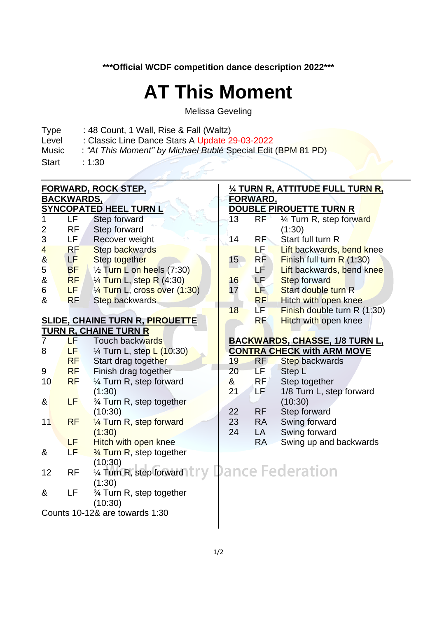**\*\*\*Official WCDF competition dance description 2022\*\*\***

## **AT This Moment**

Melissa Geveling

- Type : 48 Count, 1 Wall, Rise & Fall (Waltz)<br>Level : Classic Line Dance Stars A Update 2
- Level : Classic Line Dance Stars A Update 29-03-2022<br>Music : "At This Moment" by Michael Bublé Special Edit
	- : "At This Moment" by Michael Bublé Special Edit (BPM 81 PD)
- Start : 1:30

|                                |           | <b>FORWARD, ROCK STEP,</b>                                                 | 1/4 TURN R, ATTITUDE FULL TURN R, |                 |                                       |  |  |
|--------------------------------|-----------|----------------------------------------------------------------------------|-----------------------------------|-----------------|---------------------------------------|--|--|
| <b>BACKWARDS,</b>              |           |                                                                            |                                   | <b>FORWARD,</b> |                                       |  |  |
|                                |           | <b>SYNCOPATED HEEL TURN L</b>                                              | DOUBLE PIROUETTE TURN R           |                 |                                       |  |  |
| 1                              | <b>LF</b> | Step forward                                                               | 13                                | RF              | 1/4 Turn R, step forward              |  |  |
| 2                              | <b>RF</b> | Step forward                                                               |                                   |                 | (1:30)                                |  |  |
| 3                              | LF        | Recover weight                                                             | 14                                | <b>RF</b>       | Start full turn R                     |  |  |
| $\overline{\mathbf{4}}$        | RF        | Step backwards                                                             |                                   | LE L            | Lift backwards, bend knee             |  |  |
| $\boldsymbol{\alpha}$          | LF.       | Step together                                                              | 15                                | RF              | <b>Finish full turn R (1:30)</b>      |  |  |
| 5                              | <b>BF</b> | $\frac{1}{2}$ Turn L on heels (7:30)                                       |                                   | LF              | Lift backwards, bend knee             |  |  |
| &                              | <b>RF</b> | 1/ <sub>4</sub> Turn L, step R (4:30)                                      | 16                                | LF <sup>1</sup> | <b>Step forward</b>                   |  |  |
| 6                              | LF.       | 1/4 Turn L, cross over (1:30)                                              | 17                                | LE              | Start double turn R                   |  |  |
| &                              | <b>RF</b> | <b>Step backwards</b>                                                      |                                   | RF              | Hitch with open knee                  |  |  |
|                                |           |                                                                            | 18                                | LF I            | Finish double turn R (1:30)           |  |  |
|                                |           | <b>SLIDE, CHAINE TURN R, PIROUETTE</b>                                     |                                   | <b>RF</b>       | <b>Hitch with open knee</b>           |  |  |
| <b>TURN R, CHAINE TURN R</b>   |           |                                                                            |                                   |                 |                                       |  |  |
| $\overline{7}$                 | LF.       | Touch backwards                                                            |                                   |                 | <b>BACKWARDS, CHASSE, 1/8 TURN L,</b> |  |  |
| 8                              | LF        | 1/ <sub>4</sub> Turn L, step L (10:30)                                     |                                   |                 | <b>CONTRA CHECK with ARM MOVE</b>     |  |  |
|                                | <b>RF</b> | Start drag together                                                        | 19                                | <b>RF</b>       | Step backwards                        |  |  |
| 9                              | <b>RF</b> | Finish drag together                                                       | 20                                | LF.             | Step L                                |  |  |
| 10                             | <b>RF</b> | 1⁄4 Turn R, step forward                                                   | $\boldsymbol{\alpha}$             | RF              | Step together                         |  |  |
|                                |           | (1:30)                                                                     | 21                                | LF.             | 1/8 Turn L, step forward              |  |  |
| &                              | LF        | 3⁄4 Turn R, step together                                                  |                                   |                 | (10:30)                               |  |  |
|                                |           | (10:30)                                                                    | 22                                | <b>RF</b>       | Step forward                          |  |  |
| 11                             | <b>RF</b> | 1/4 Turn R, step forward                                                   | 23                                | <b>RA</b>       | Swing forward                         |  |  |
|                                |           | (1:30)                                                                     | 24                                | LA              | Swing forward                         |  |  |
|                                | LF        | <b>Hitch with open knee</b>                                                |                                   | <b>RA</b>       | Swing up and backwards                |  |  |
| &                              | LF        | $\frac{3}{4}$ Turn R, step together                                        |                                   |                 |                                       |  |  |
|                                |           | (10:30)                                                                    |                                   |                 |                                       |  |  |
| 12                             | <b>RF</b> | <sup>1.0.00</sup> , x <sub>1</sub> unit, step forward try Dance Federation |                                   |                 |                                       |  |  |
|                                |           | (1:30)                                                                     |                                   |                 |                                       |  |  |
| &                              | LF        | 3⁄4 Turn R, step together                                                  |                                   |                 |                                       |  |  |
|                                |           | (10:30)                                                                    |                                   |                 |                                       |  |  |
| Counts 10-12& are towards 1:30 |           |                                                                            |                                   |                 |                                       |  |  |